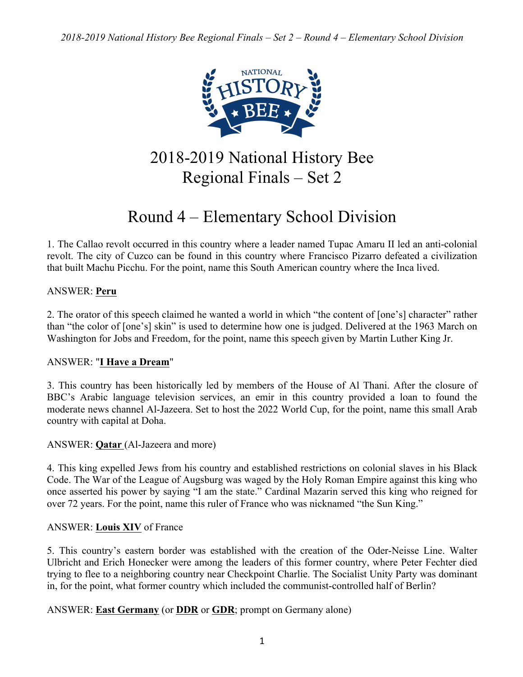

2018-2019 National History Bee Regional Finals – Set 2

# Round 4 – Elementary School Division

1. The Callao revolt occurred in this country where a leader named Tupac Amaru II led an anti-colonial revolt. The city of Cuzco can be found in this country where Francisco Pizarro defeated a civilization that built Machu Picchu. For the point, name this South American country where the Inca lived.

# ANSWER: **Peru**

2. The orator of this speech claimed he wanted a world in which "the content of [one's] character" rather than "the color of [one's] skin" is used to determine how one is judged. Delivered at the 1963 March on Washington for Jobs and Freedom, for the point, name this speech given by Martin Luther King Jr.

# ANSWER: "**I Have a Dream**"

3. This country has been historically led by members of the House of Al Thani. After the closure of BBC's Arabic language television services, an emir in this country provided a loan to found the moderate news channel Al-Jazeera. Set to host the 2022 World Cup, for the point, name this small Arab country with capital at Doha.

## ANSWER: **Qatar** (Al-Jazeera and more)

4. This king expelled Jews from his country and established restrictions on colonial slaves in his Black Code. The War of the League of Augsburg was waged by the Holy Roman Empire against this king who once asserted his power by saying "I am the state." Cardinal Mazarin served this king who reigned for over 72 years. For the point, name this ruler of France who was nicknamed "the Sun King."

## ANSWER: **Louis XIV** of France

5. This country's eastern border was established with the creation of the Oder-Neisse Line. Walter Ulbricht and Erich Honecker were among the leaders of this former country, where Peter Fechter died trying to flee to a neighboring country near Checkpoint Charlie. The Socialist Unity Party was dominant in, for the point, what former country which included the communist-controlled half of Berlin?

ANSWER: **East Germany** (or **DDR** or **GDR**; prompt on Germany alone)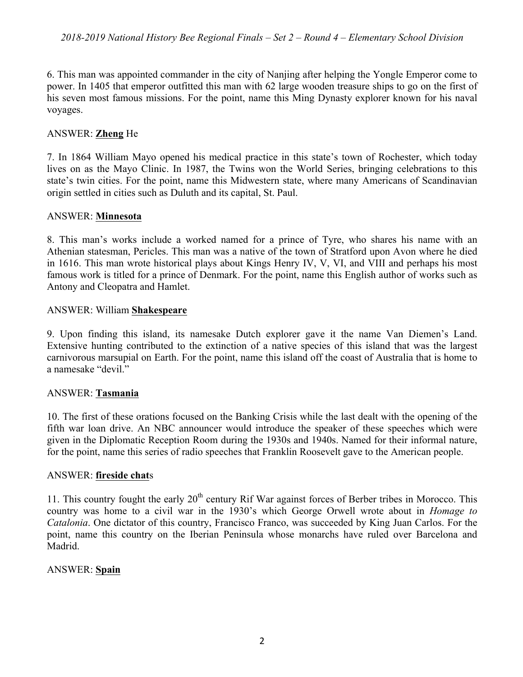6. This man was appointed commander in the city of Nanjing after helping the Yongle Emperor come to power. In 1405 that emperor outfitted this man with 62 large wooden treasure ships to go on the first of his seven most famous missions. For the point, name this Ming Dynasty explorer known for his naval voyages.

## ANSWER: **Zheng** He

7. In 1864 William Mayo opened his medical practice in this state's town of Rochester, which today lives on as the Mayo Clinic. In 1987, the Twins won the World Series, bringing celebrations to this state's twin cities. For the point, name this Midwestern state, where many Americans of Scandinavian origin settled in cities such as Duluth and its capital, St. Paul.

#### ANSWER: **Minnesota**

8. This man's works include a worked named for a prince of Tyre, who shares his name with an Athenian statesman, Pericles. This man was a native of the town of Stratford upon Avon where he died in 1616. This man wrote historical plays about Kings Henry IV, V, VI, and VIII and perhaps his most famous work is titled for a prince of Denmark. For the point, name this English author of works such as Antony and Cleopatra and Hamlet.

#### ANSWER: William **Shakespeare**

9. Upon finding this island, its namesake Dutch explorer gave it the name Van Diemen's Land. Extensive hunting contributed to the extinction of a native species of this island that was the largest carnivorous marsupial on Earth. For the point, name this island off the coast of Australia that is home to a namesake "devil."

## ANSWER: **Tasmania**

10. The first of these orations focused on the Banking Crisis while the last dealt with the opening of the fifth war loan drive. An NBC announcer would introduce the speaker of these speeches which were given in the Diplomatic Reception Room during the 1930s and 1940s. Named for their informal nature, for the point, name this series of radio speeches that Franklin Roosevelt gave to the American people.

#### ANSWER: **fireside chat**s

11. This country fought the early  $20<sup>th</sup>$  century Rif War against forces of Berber tribes in Morocco. This country was home to a civil war in the 1930's which George Orwell wrote about in *Homage to Catalonia*. One dictator of this country, Francisco Franco, was succeeded by King Juan Carlos. For the point, name this country on the Iberian Peninsula whose monarchs have ruled over Barcelona and Madrid.

#### ANSWER: **Spain**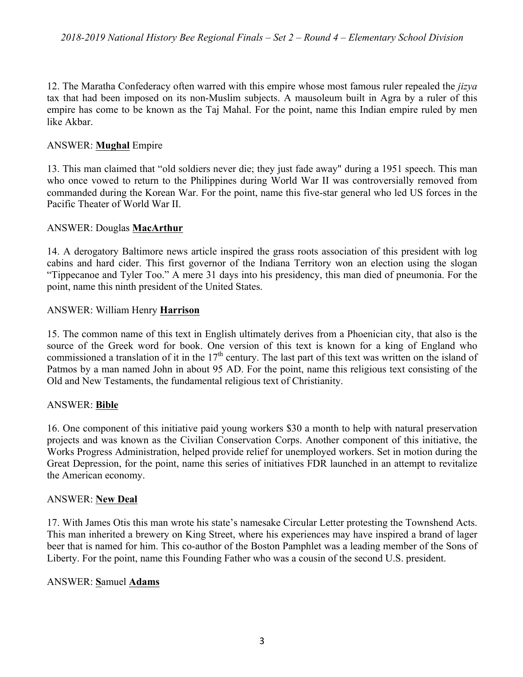12. The Maratha Confederacy often warred with this empire whose most famous ruler repealed the *jizya* tax that had been imposed on its non-Muslim subjects. A mausoleum built in Agra by a ruler of this empire has come to be known as the Taj Mahal. For the point, name this Indian empire ruled by men like Akbar.

# ANSWER: **Mughal** Empire

13. This man claimed that "old soldiers never die; they just fade away" during a 1951 speech. This man who once vowed to return to the Philippines during World War II was controversially removed from commanded during the Korean War. For the point, name this five-star general who led US forces in the Pacific Theater of World War II.

# ANSWER: Douglas **MacArthur**

14. A derogatory Baltimore news article inspired the grass roots association of this president with log cabins and hard cider. This first governor of the Indiana Territory won an election using the slogan "Tippecanoe and Tyler Too." A mere 31 days into his presidency, this man died of pneumonia. For the point, name this ninth president of the United States.

# ANSWER: William Henry **Harrison**

15. The common name of this text in English ultimately derives from a Phoenician city, that also is the source of the Greek word for book. One version of this text is known for a king of England who commissioned a translation of it in the  $17<sup>th</sup>$  century. The last part of this text was written on the island of Patmos by a man named John in about 95 AD. For the point, name this religious text consisting of the Old and New Testaments, the fundamental religious text of Christianity.

## ANSWER: **Bible**

16. One component of this initiative paid young workers \$30 a month to help with natural preservation projects and was known as the Civilian Conservation Corps. Another component of this initiative, the Works Progress Administration, helped provide relief for unemployed workers. Set in motion during the Great Depression, for the point, name this series of initiatives FDR launched in an attempt to revitalize the American economy.

## ANSWER: **New Deal**

17. With James Otis this man wrote his state's namesake Circular Letter protesting the Townshend Acts. This man inherited a brewery on King Street, where his experiences may have inspired a brand of lager beer that is named for him. This co-author of the Boston Pamphlet was a leading member of the Sons of Liberty. For the point, name this Founding Father who was a cousin of the second U.S. president.

## ANSWER: **S**amuel **Adams**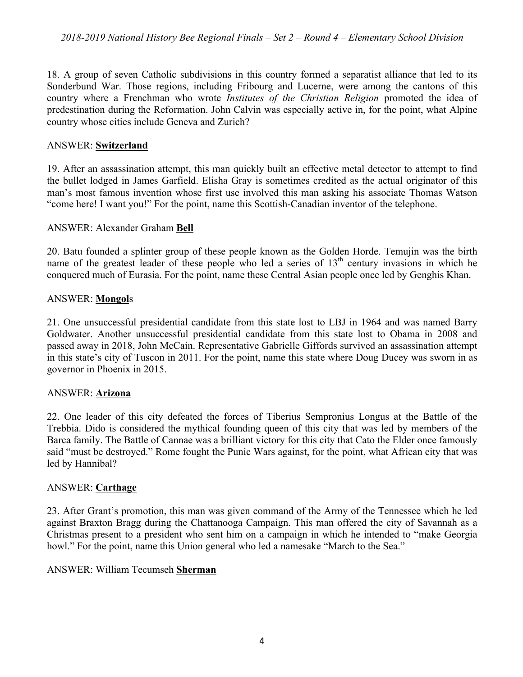18. A group of seven Catholic subdivisions in this country formed a separatist alliance that led to its Sonderbund War. Those regions, including Fribourg and Lucerne, were among the cantons of this country where a Frenchman who wrote *Institutes of the Christian Religion* promoted the idea of predestination during the Reformation. John Calvin was especially active in, for the point, what Alpine country whose cities include Geneva and Zurich?

#### ANSWER: **Switzerland**

19. After an assassination attempt, this man quickly built an effective metal detector to attempt to find the bullet lodged in James Garfield. Elisha Gray is sometimes credited as the actual originator of this man's most famous invention whose first use involved this man asking his associate Thomas Watson "come here! I want you!" For the point, name this Scottish-Canadian inventor of the telephone.

#### ANSWER: Alexander Graham **Bell**

20. Batu founded a splinter group of these people known as the Golden Horde. Temujin was the birth name of the greatest leader of these people who led a series of  $13<sup>th</sup>$  century invasions in which he conquered much of Eurasia. For the point, name these Central Asian people once led by Genghis Khan.

#### ANSWER: **Mongol**s

21. One unsuccessful presidential candidate from this state lost to LBJ in 1964 and was named Barry Goldwater. Another unsuccessful presidential candidate from this state lost to Obama in 2008 and passed away in 2018, John McCain. Representative Gabrielle Giffords survived an assassination attempt in this state's city of Tuscon in 2011. For the point, name this state where Doug Ducey was sworn in as governor in Phoenix in 2015.

#### ANSWER: **Arizona**

22. One leader of this city defeated the forces of Tiberius Sempronius Longus at the Battle of the Trebbia. Dido is considered the mythical founding queen of this city that was led by members of the Barca family. The Battle of Cannae was a brilliant victory for this city that Cato the Elder once famously said "must be destroyed." Rome fought the Punic Wars against, for the point, what African city that was led by Hannibal?

#### ANSWER: **Carthage**

23. After Grant's promotion, this man was given command of the Army of the Tennessee which he led against Braxton Bragg during the Chattanooga Campaign. This man offered the city of Savannah as a Christmas present to a president who sent him on a campaign in which he intended to "make Georgia howl." For the point, name this Union general who led a namesake "March to the Sea."

#### ANSWER: William Tecumseh **Sherman**